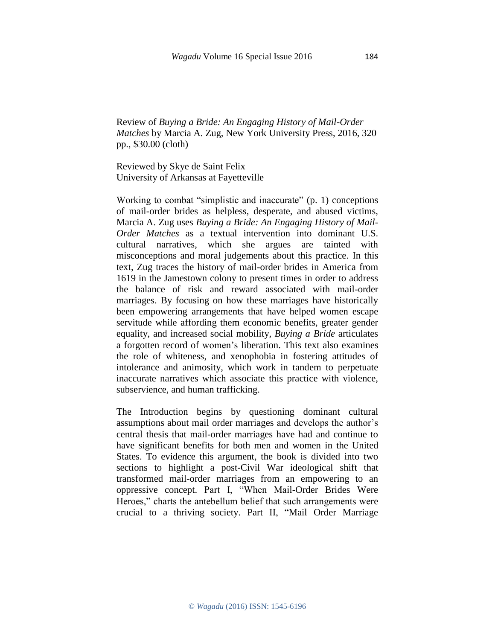Review of *Buying a Bride: An Engaging History of Mail-Order Matches* by Marcia A. Zug, New York University Press, 2016, 320 pp., \$30.00 (cloth)

Reviewed by Skye de Saint Felix University of Arkansas at Fayetteville

Working to combat "simplistic and inaccurate" (p. 1) conceptions of mail-order brides as helpless, desperate, and abused victims, Marcia A. Zug uses *Buying a Bride: An Engaging History of Mail-Order Matches* as a textual intervention into dominant U.S. cultural narratives, which she argues are tainted with misconceptions and moral judgements about this practice. In this text, Zug traces the history of mail-order brides in America from 1619 in the Jamestown colony to present times in order to address the balance of risk and reward associated with mail-order marriages. By focusing on how these marriages have historically been empowering arrangements that have helped women escape servitude while affording them economic benefits, greater gender equality, and increased social mobility, *Buying a Bride* articulates a forgotten record of women's liberation. This text also examines the role of whiteness, and xenophobia in fostering attitudes of intolerance and animosity, which work in tandem to perpetuate inaccurate narratives which associate this practice with violence, subservience, and human trafficking.

The Introduction begins by questioning dominant cultural assumptions about mail order marriages and develops the author's central thesis that mail-order marriages have had and continue to have significant benefits for both men and women in the United States. To evidence this argument, the book is divided into two sections to highlight a post-Civil War ideological shift that transformed mail-order marriages from an empowering to an oppressive concept. Part I, "When Mail-Order Brides Were Heroes," charts the antebellum belief that such arrangements were crucial to a thriving society. Part II, "Mail Order Marriage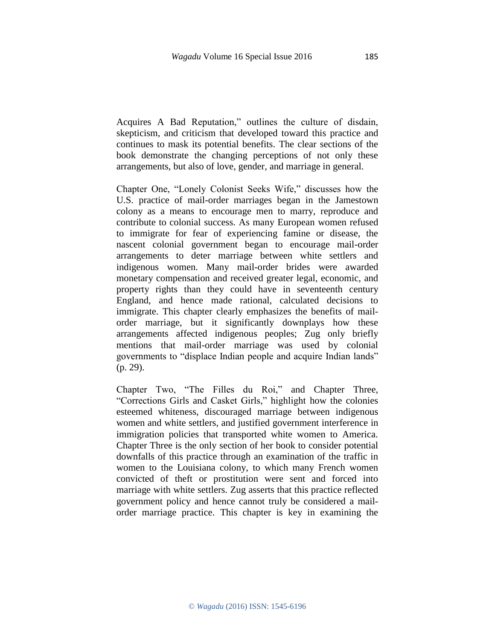Acquires A Bad Reputation," outlines the culture of disdain, skepticism, and criticism that developed toward this practice and continues to mask its potential benefits. The clear sections of the book demonstrate the changing perceptions of not only these arrangements, but also of love, gender, and marriage in general.

Chapter One, "Lonely Colonist Seeks Wife," discusses how the U.S. practice of mail-order marriages began in the Jamestown colony as a means to encourage men to marry, reproduce and contribute to colonial success. As many European women refused to immigrate for fear of experiencing famine or disease, the nascent colonial government began to encourage mail-order arrangements to deter marriage between white settlers and indigenous women. Many mail-order brides were awarded monetary compensation and received greater legal, economic, and property rights than they could have in seventeenth century England, and hence made rational, calculated decisions to immigrate. This chapter clearly emphasizes the benefits of mailorder marriage, but it significantly downplays how these arrangements affected indigenous peoples; Zug only briefly mentions that mail-order marriage was used by colonial governments to "displace Indian people and acquire Indian lands" (p. 29).

Chapter Two, "The Filles du Roi," and Chapter Three, "Corrections Girls and Casket Girls," highlight how the colonies esteemed whiteness, discouraged marriage between indigenous women and white settlers, and justified government interference in immigration policies that transported white women to America. Chapter Three is the only section of her book to consider potential downfalls of this practice through an examination of the traffic in women to the Louisiana colony, to which many French women convicted of theft or prostitution were sent and forced into marriage with white settlers. Zug asserts that this practice reflected government policy and hence cannot truly be considered a mailorder marriage practice. This chapter is key in examining the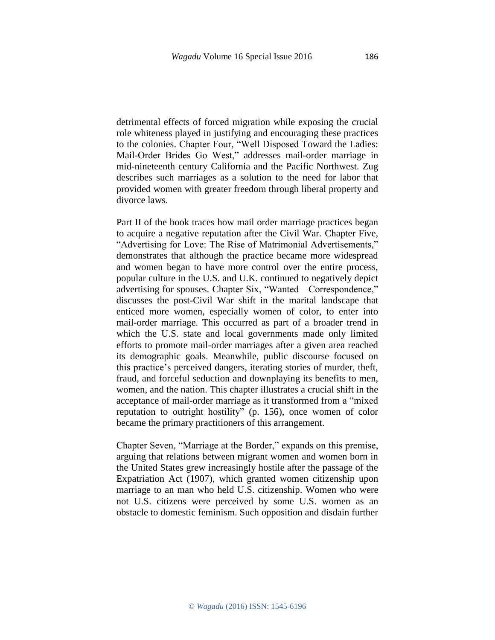detrimental effects of forced migration while exposing the crucial role whiteness played in justifying and encouraging these practices to the colonies. Chapter Four, "Well Disposed Toward the Ladies: Mail-Order Brides Go West," addresses mail-order marriage in mid-nineteenth century California and the Pacific Northwest. Zug describes such marriages as a solution to the need for labor that provided women with greater freedom through liberal property and divorce laws.

Part II of the book traces how mail order marriage practices began to acquire a negative reputation after the Civil War. Chapter Five, "Advertising for Love: The Rise of Matrimonial Advertisements," demonstrates that although the practice became more widespread and women began to have more control over the entire process, popular culture in the U.S. and U.K. continued to negatively depict advertising for spouses. Chapter Six, "Wanted—Correspondence," discusses the post-Civil War shift in the marital landscape that enticed more women, especially women of color, to enter into mail-order marriage. This occurred as part of a broader trend in which the U.S. state and local governments made only limited efforts to promote mail-order marriages after a given area reached its demographic goals. Meanwhile, public discourse focused on this practice's perceived dangers, iterating stories of murder, theft, fraud, and forceful seduction and downplaying its benefits to men, women, and the nation. This chapter illustrates a crucial shift in the acceptance of mail-order marriage as it transformed from a "mixed reputation to outright hostility" (p. 156), once women of color became the primary practitioners of this arrangement.

Chapter Seven, "Marriage at the Border," expands on this premise, arguing that relations between migrant women and women born in the United States grew increasingly hostile after the passage of the Expatriation Act (1907), which granted women citizenship upon marriage to an man who held U.S. citizenship. Women who were not U.S. citizens were perceived by some U.S. women as an obstacle to domestic feminism. Such opposition and disdain further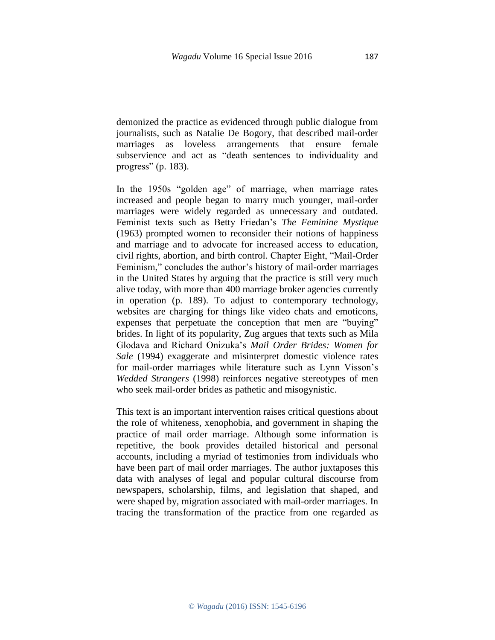demonized the practice as evidenced through public dialogue from journalists, such as Natalie De Bogory, that described mail-order marriages as loveless arrangements that ensure female subservience and act as "death sentences to individuality and progress" (p. 183).

In the 1950s "golden age" of marriage, when marriage rates increased and people began to marry much younger, mail-order marriages were widely regarded as unnecessary and outdated. Feminist texts such as Betty Friedan's *The Feminine Mystique* (1963) prompted women to reconsider their notions of happiness and marriage and to advocate for increased access to education, civil rights, abortion, and birth control. Chapter Eight, "Mail-Order Feminism," concludes the author's history of mail-order marriages in the United States by arguing that the practice is still very much alive today, with more than 400 marriage broker agencies currently in operation (p. 189). To adjust to contemporary technology, websites are charging for things like video chats and emoticons, expenses that perpetuate the conception that men are "buying" brides. In light of its popularity, Zug argues that texts such as Mila Glodava and Richard Onizuka's *Mail Order Brides: Women for Sale* (1994) exaggerate and misinterpret domestic violence rates for mail-order marriages while literature such as Lynn Visson's *Wedded Strangers* (1998) reinforces negative stereotypes of men who seek mail-order brides as pathetic and misogynistic.

This text is an important intervention raises critical questions about the role of whiteness, xenophobia, and government in shaping the practice of mail order marriage. Although some information is repetitive, the book provides detailed historical and personal accounts, including a myriad of testimonies from individuals who have been part of mail order marriages. The author juxtaposes this data with analyses of legal and popular cultural discourse from newspapers, scholarship, films, and legislation that shaped, and were shaped by, migration associated with mail-order marriages. In tracing the transformation of the practice from one regarded as